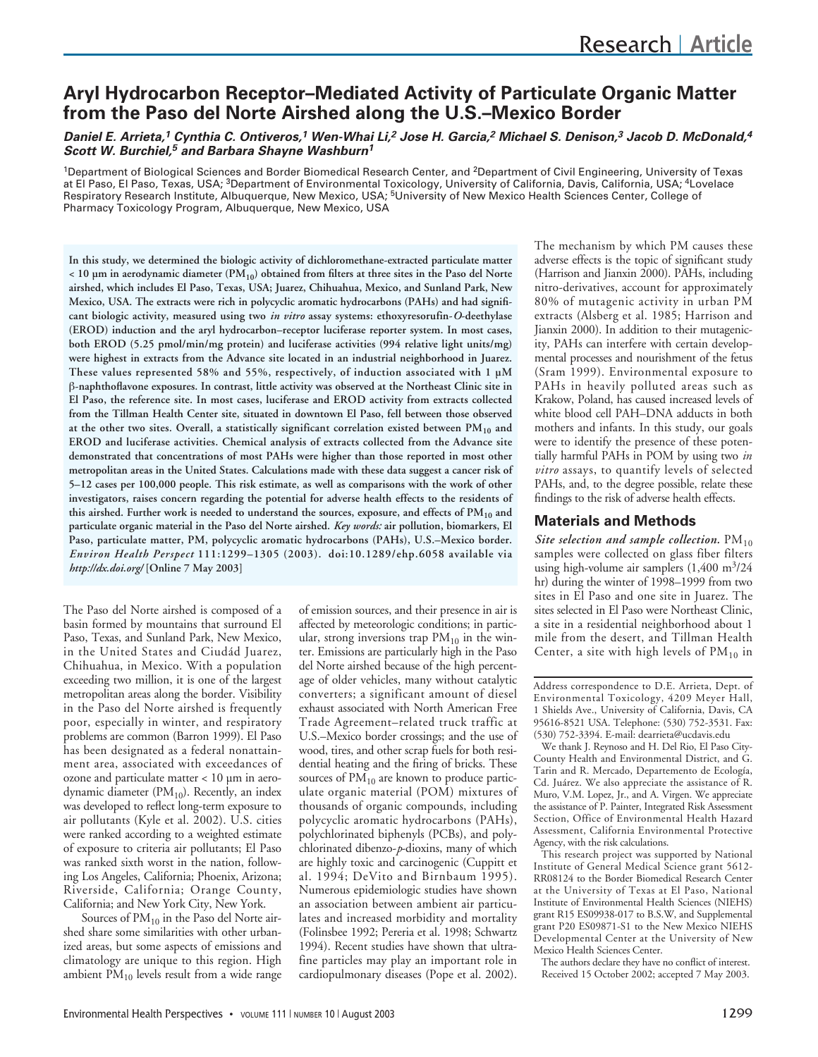# **Aryl Hydrocarbon Receptor–Mediated Activity of Particulate Organic Matter from the Paso del Norte Airshed along the U.S.–Mexico Border**

## *Daniel E. Arrieta,1 Cynthia C. Ontiveros,1 Wen-Whai Li,2 Jose H. Garcia,2 Michael S. Denison,3 Jacob D. McDonald,4 Scott W. Burchiel,5 and Barbara Shayne Washburn1*

<sup>1</sup>Department of Biological Sciences and Border Biomedical Research Center, and <sup>2</sup>Department of Civil Engineering, University of Texas at El Paso, El Paso, Texas, USA; 3Department of Environmental Toxicology, University of California, Davis, California, USA; 4Lovelace Respiratory Research Institute, Albuquerque, New Mexico, USA; 5University of New Mexico Health Sciences Center, College of Pharmacy Toxicology Program, Albuquerque, New Mexico, USA

**In this study, we determined the biologic activity of dichloromethane-extracted particulate matter < 10 µm in aerodynamic diameter (PM10) obtained from filters at three sites in the Paso del Norte airshed, which includes El Paso, Texas, USA; Juarez, Chihuahua, Mexico, and Sunland Park, New Mexico, USA. The extracts were rich in polycyclic aromatic hydrocarbons (PAHs) and had significant biologic activity, measured using two** *in vitro* **assay systems: ethoxyresorufin-***O***-deethylase (EROD) induction and the aryl hydrocarbon–receptor luciferase reporter system. In most cases, both EROD (5.25 pmol/min/mg protein) and luciferase activities (994 relative light units/mg) were highest in extracts from the Advance site located in an industrial neighborhood in Juarez. These values represented 58% and 55%, respectively, of induction associated with 1 µM** β**-naphthoflavone exposures. In contrast, little activity was observed at the Northeast Clinic site in El Paso, the reference site. In most cases, luciferase and EROD activity from extracts collected from the Tillman Health Center site, situated in downtown El Paso, fell between those observed at the other two sites. Overall, a statistically significant correlation existed between PM10 and EROD and luciferase activities. Chemical analysis of extracts collected from the Advance site demonstrated that concentrations of most PAHs were higher than those reported in most other metropolitan areas in the United States. Calculations made with these data suggest a cancer risk of 5–12 cases per 100,000 people. This risk estimate, as well as comparisons with the work of other investigators, raises concern regarding the potential for adverse health effects to the residents of** this airshed. Further work is needed to understand the sources, exposure, and effects of PM<sub>10</sub> and **particulate organic material in the Paso del Norte airshed.** *Key words:* **air pollution, biomarkers, El Paso, particulate matter, PM, polycyclic aromatic hydrocarbons (PAHs), U.S.–Mexico border.** *Environ Health Perspect* **111:1299–1305 (2003). doi:10.1289/ehp.6058 available via** *http://dx.doi.org/* **[Online 7 May 2003]**

The Paso del Norte airshed is composed of a basin formed by mountains that surround El Paso, Texas, and Sunland Park, New Mexico, in the United States and Ciudád Juarez, Chihuahua, in Mexico. With a population exceeding two million, it is one of the largest metropolitan areas along the border. Visibility in the Paso del Norte airshed is frequently poor, especially in winter, and respiratory problems are common (Barron 1999). El Paso has been designated as a federal nonattainment area, associated with exceedances of ozone and particulate matter < 10 µm in aerodynamic diameter ( $PM_{10}$ ). Recently, an index was developed to reflect long-term exposure to air pollutants (Kyle et al. 2002). U.S. cities were ranked according to a weighted estimate of exposure to criteria air pollutants; El Paso was ranked sixth worst in the nation, following Los Angeles, California; Phoenix, Arizona; Riverside, California; Orange County, California; and New York City, New York.

Sources of  $PM_{10}$  in the Paso del Norte airshed share some similarities with other urbanized areas, but some aspects of emissions and climatology are unique to this region. High ambient  $PM_{10}$  levels result from a wide range

of emission sources, and their presence in air is affected by meteorologic conditions; in particular, strong inversions trap  $PM_{10}$  in the winter. Emissions are particularly high in the Paso del Norte airshed because of the high percentage of older vehicles, many without catalytic converters; a significant amount of diesel exhaust associated with North American Free Trade Agreement–related truck traffic at U.S.–Mexico border crossings; and the use of wood, tires, and other scrap fuels for both residential heating and the firing of bricks. These sources of  $PM_{10}$  are known to produce particulate organic material (POM) mixtures of thousands of organic compounds, including polycyclic aromatic hydrocarbons (PAHs), polychlorinated biphenyls (PCBs), and polychlorinated dibenzo-*p*-dioxins, many of which are highly toxic and carcinogenic (Cuppitt et al. 1994; DeVito and Birnbaum 1995). Numerous epidemiologic studies have shown an association between ambient air particulates and increased morbidity and mortality (Folinsbee 1992; Pereria et al. 1998; Schwartz 1994). Recent studies have shown that ultrafine particles may play an important role in cardiopulmonary diseases (Pope et al. 2002).

The mechanism by which PM causes these adverse effects is the topic of significant study (Harrison and Jianxin 2000). PAHs, including nitro-derivatives, account for approximately 80% of mutagenic activity in urban PM extracts (Alsberg et al. 1985; Harrison and Jianxin 2000). In addition to their mutagenicity, PAHs can interfere with certain developmental processes and nourishment of the fetus (Sram 1999). Environmental exposure to PAHs in heavily polluted areas such as Krakow, Poland, has caused increased levels of white blood cell PAH–DNA adducts in both mothers and infants. In this study, our goals were to identify the presence of these potentially harmful PAHs in POM by using two *in vitro* assays, to quantify levels of selected PAHs, and, to the degree possible, relate these findings to the risk of adverse health effects.

# **Materials and Methods**

*Site selection and sample collection.*  $PM_{10}$ samples were collected on glass fiber filters using high-volume air samplers  $(1,400 \text{ m}^3/24)$ hr) during the winter of 1998–1999 from two sites in El Paso and one site in Juarez. The sites selected in El Paso were Northeast Clinic, a site in a residential neighborhood about 1 mile from the desert, and Tillman Health Center, a site with high levels of  $PM_{10}$  in

We thank J. Reynoso and H. Del Rio, El Paso City-County Health and Environmental District, and G. Tarin and R. Mercado, Departemento de Ecología, Cd. Juárez. We also appreciate the assistance of R. Muro, V.M. Lopez, Jr., and A. Virgen. We appreciate the assistance of P. Painter, Integrated Risk Assessment Section, Office of Environmental Health Hazard Assessment, California Environmental Protective Agency, with the risk calculations.

This research project was supported by National Institute of General Medical Science grant 5612- RR08124 to the Border Biomedical Research Center at the University of Texas at El Paso, National Institute of Environmental Health Sciences (NIEHS) grant R15 ES09938-017 to B.S.W, and Supplemental grant P20 ES09871-S1 to the New Mexico NIEHS Developmental Center at the University of New Mexico Health Sciences Center.

The authors declare they have no conflict of interest. Received 15 October 2002; accepted 7 May 2003.

Address correspondence to D.E. Arrieta, Dept. of Environmental Toxicology, 4209 Meyer Hall, 1 Shields Ave., University of California, Davis, CA 95616-8521 USA. Telephone: (530) 752-3531. Fax: (530) 752-3394. E-mail: dearrieta@ucdavis.edu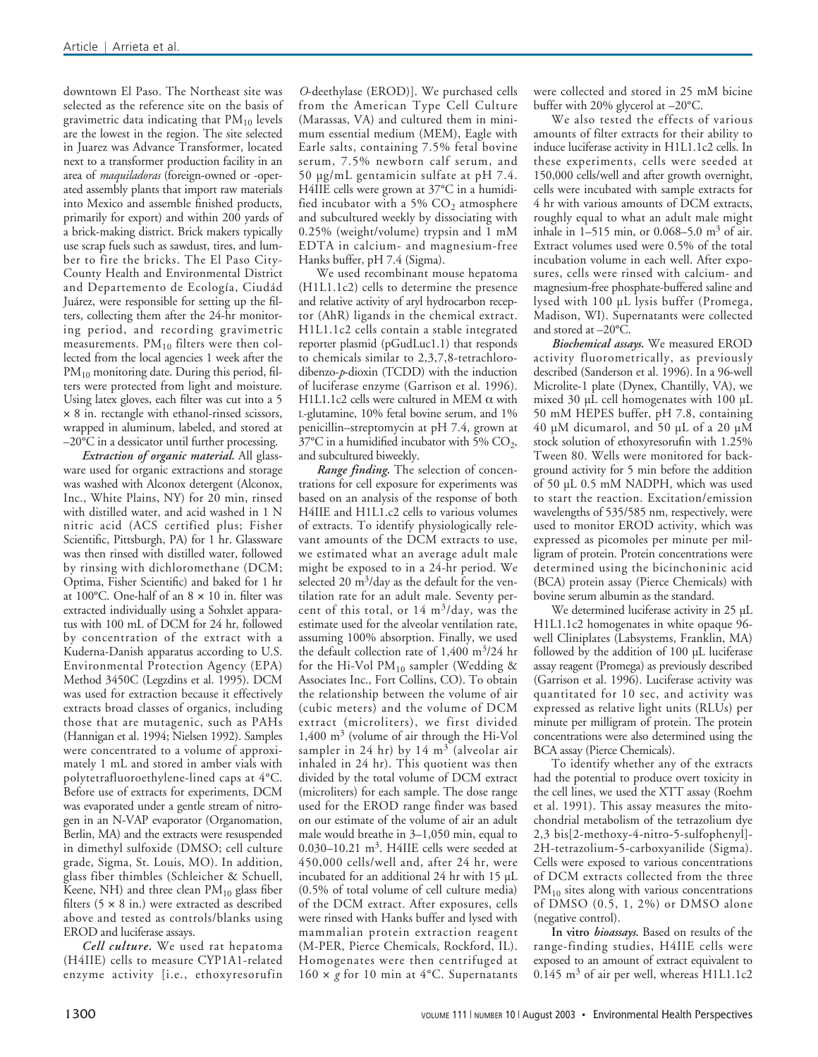downtown El Paso. The Northeast site was selected as the reference site on the basis of gravimetric data indicating that  $PM_{10}$  levels are the lowest in the region. The site selected in Juarez was Advance Transformer, located next to a transformer production facility in an area of *maquiladoras* (foreign-owned or -operated assembly plants that import raw materials into Mexico and assemble finished products, primarily for export) and within 200 yards of a brick-making district. Brick makers typically use scrap fuels such as sawdust, tires, and lumber to fire the bricks. The El Paso City-County Health and Environmental District and Departemento de Ecología, Ciudád Juárez, were responsible for setting up the filters, collecting them after the 24-hr monitoring period, and recording gravimetric measurements.  $PM_{10}$  filters were then collected from the local agencies 1 week after the PM<sub>10</sub> monitoring date. During this period, filters were protected from light and moisture. Using latex gloves, each filter was cut into a 5 × 8 in. rectangle with ethanol-rinsed scissors, wrapped in aluminum, labeled, and stored at  $-20^{\circ}$ C in a dessicator until further processing.

*Extraction of organic material.* All glassware used for organic extractions and storage was washed with Alconox detergent (Alconox, Inc., White Plains, NY) for 20 min, rinsed with distilled water, and acid washed in 1 N nitric acid (ACS certified plus; Fisher Scientific, Pittsburgh, PA) for 1 hr. Glassware was then rinsed with distilled water, followed by rinsing with dichloromethane (DCM; Optima, Fisher Scientific) and baked for 1 hr at 100°C. One-half of an 8 × 10 in. filter was extracted individually using a Sohxlet apparatus with 100 mL of DCM for 24 hr, followed by concentration of the extract with a Kuderna-Danish apparatus according to U.S. Environmental Protection Agency (EPA) Method 3450C (Legzdins et al. 1995). DCM was used for extraction because it effectively extracts broad classes of organics, including those that are mutagenic, such as PAHs (Hannigan et al. 1994; Nielsen 1992). Samples were concentrated to a volume of approximately 1 mL and stored in amber vials with polytetrafluoroethylene-lined caps at 4°C. Before use of extracts for experiments, DCM was evaporated under a gentle stream of nitrogen in an N-VAP evaporator (Organomation, Berlin, MA) and the extracts were resuspended in dimethyl sulfoxide (DMSO; cell culture grade, Sigma, St. Louis, MO). In addition, glass fiber thimbles (Schleicher & Schuell, Keene, NH) and three clean  $PM_{10}$  glass fiber filters  $(5 \times 8 \text{ in.})$  were extracted as described above and tested as controls/blanks using EROD and luciferase assays.

*Cell culture.* We used rat hepatoma (H4IIE) cells to measure CYP1A1-related enzyme activity [i.e., ethoxyresorufin

*O*-deethylase (EROD)]. We purchased cells from the American Type Cell Culture (Marassas, VA) and cultured them in minimum essential medium (MEM), Eagle with Earle salts, containing 7.5% fetal bovine serum, 7.5% newborn calf serum, and 50 µg/mL gentamicin sulfate at pH 7.4. H4IIE cells were grown at 37°C in a humidified incubator with a 5%  $CO<sub>2</sub>$  atmosphere and subcultured weekly by dissociating with 0.25% (weight/volume) trypsin and 1 mM EDTA in calcium- and magnesium-free Hanks buffer, pH 7.4 (Sigma).

We used recombinant mouse hepatoma (H1L1.1c2) cells to determine the presence and relative activity of aryl hydrocarbon receptor (AhR) ligands in the chemical extract. H1L1.1c2 cells contain a stable integrated reporter plasmid (pGudLuc1.1) that responds to chemicals similar to 2,3,7,8-tetrachlorodibenzo-*p*-dioxin (TCDD) with the induction of luciferase enzyme (Garrison et al. 1996). H1L1.1c2 cells were cultured in MEM  $\alpha$  with L-glutamine, 10% fetal bovine serum, and 1% penicillin–streptomycin at pH 7.4, grown at  $37^{\circ}$ C in a humidified incubator with 5% CO<sub>2</sub>, and subcultured biweekly.

*Range finding.* The selection of concentrations for cell exposure for experiments was based on an analysis of the response of both H4IIE and H1L1.c2 cells to various volumes of extracts. To identify physiologically relevant amounts of the DCM extracts to use, we estimated what an average adult male might be exposed to in a 24-hr period. We selected 20  $\text{m}^3/\text{day}$  as the default for the ventilation rate for an adult male. Seventy percent of this total, or  $14 \text{ m}^3/\text{day}$ , was the estimate used for the alveolar ventilation rate, assuming 100% absorption. Finally, we used the default collection rate of  $1,400 \text{ m}^3/24 \text{ hr}$ for the Hi-Vol  $PM_{10}$  sampler (Wedding & Associates Inc., Fort Collins, CO). To obtain the relationship between the volume of air (cubic meters) and the volume of DCM extract (microliters), we first divided  $1,400 \text{ m}^3$  (volume of air through the Hi-Vol sampler in 24 hr) by 14  $m<sup>3</sup>$  (alveolar air inhaled in 24 hr). This quotient was then divided by the total volume of DCM extract (microliters) for each sample. The dose range used for the EROD range finder was based on our estimate of the volume of air an adult male would breathe in 3–1,050 min, equal to 0.030–10.21  $m^3$ . H4IIE cells were seeded at 450,000 cells/well and, after 24 hr, were incubated for an additional 24 hr with 15 µL (0.5% of total volume of cell culture media) of the DCM extract. After exposures, cells were rinsed with Hanks buffer and lysed with mammalian protein extraction reagent (M-PER, Pierce Chemicals, Rockford, IL). Homogenates were then centrifuged at  $160 \times g$  for 10 min at 4°C. Supernatants

were collected and stored in 25 mM bicine buffer with 20% glycerol at –20°C.

We also tested the effects of various amounts of filter extracts for their ability to induce luciferase activity in H1L1.1c2 cells. In these experiments, cells were seeded at 150,000 cells/well and after growth overnight, cells were incubated with sample extracts for 4 hr with various amounts of DCM extracts, roughly equal to what an adult male might inhale in 1–515 min, or 0.068–5.0  $\text{m}^3$  of air. Extract volumes used were 0.5% of the total incubation volume in each well. After exposures, cells were rinsed with calcium- and magnesium-free phosphate-buffered saline and lysed with 100 µL lysis buffer (Promega, Madison, WI). Supernatants were collected and stored at –20°C.

*Biochemical assays.* We measured EROD activity fluorometrically, as previously described (Sanderson et al. 1996). In a 96-well Microlite-1 plate (Dynex, Chantilly, VA), we mixed 30 µL cell homogenates with 100 µL 50 mM HEPES buffer, pH 7.8, containing 40 µM dicumarol, and  $50$  µL of a 20 µM stock solution of ethoxyresorufin with 1.25% Tween 80. Wells were monitored for background activity for 5 min before the addition of 50 µL 0.5 mM NADPH, which was used to start the reaction. Excitation/emission wavelengths of 535/585 nm, respectively, were used to monitor EROD activity, which was expressed as picomoles per minute per milligram of protein. Protein concentrations were determined using the bicinchoninic acid (BCA) protein assay (Pierce Chemicals) with bovine serum albumin as the standard.

We determined luciferase activity in 25 µL H1L1.1c2 homogenates in white opaque 96 well Cliniplates (Labsystems, Franklin, MA) followed by the addition of 100 uL luciferase assay reagent (Promega) as previously described (Garrison et al. 1996). Luciferase activity was quantitated for 10 sec, and activity was expressed as relative light units (RLUs) per minute per milligram of protein. The protein concentrations were also determined using the BCA assay (Pierce Chemicals).

To identify whether any of the extracts had the potential to produce overt toxicity in the cell lines, we used the XTT assay (Roehm et al. 1991). This assay measures the mitochondrial metabolism of the tetrazolium dye 2,3 bis[2-methoxy-4-nitro-5-sulfophenyl]- 2H-tetrazolium-5-carboxyanilide (Sigma). Cells were exposed to various concentrations of DCM extracts collected from the three  $PM<sub>10</sub>$  sites along with various concentrations of DMSO (0.5, 1, 2%) or DMSO alone (negative control).

**In vitro** *bioassays.* Based on results of the range-finding studies, H4IIE cells were exposed to an amount of extract equivalent to  $0.145 \text{ m}^3$  of air per well, whereas H1L1.1c2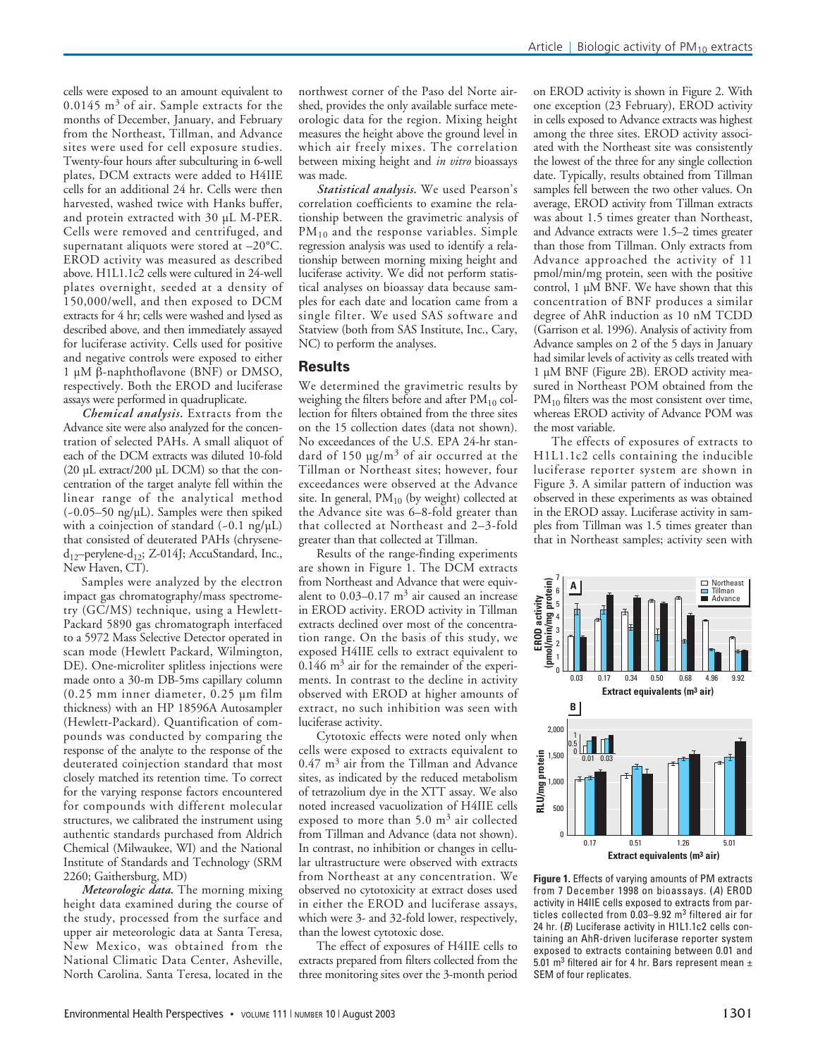cells were exposed to an amount equivalent to  $0.0145$  m<sup>3</sup> of air. Sample extracts for the months of December, January, and February from the Northeast, Tillman, and Advance sites were used for cell exposure studies. Twenty-four hours after subculturing in 6-well plates, DCM extracts were added to H4IIE cells for an additional 24 hr. Cells were then harvested, washed twice with Hanks buffer, and protein extracted with 30 µL M-PER. Cells were removed and centrifuged, and supernatant aliquots were stored at –20°C. EROD activity was measured as described above. H1L1.1c2 cells were cultured in 24-well plates overnight, seeded at a density of 150,000/well, and then exposed to DCM extracts for 4 hr; cells were washed and lysed as described above, and then immediately assayed for luciferase activity. Cells used for positive and negative controls were exposed to either 1 µM β-naphthoflavone (BNF) or DMSO, respectively. Both the EROD and luciferase assays were performed in quadruplicate.

*Chemical analysis.* Extracts from the Advance site were also analyzed for the concentration of selected PAHs. A small aliquot of each of the DCM extracts was diluted 10-fold (20 µL extract/200 µL DCM) so that the concentration of the target analyte fell within the linear range of the analytical method  $(-0.05-50 \text{ ng/µL})$ . Samples were then spiked with a coinjection of standard  $(-0.1 \text{ ng/}\mu\text{L})$ that consisted of deuterated PAHs (chrysene $d_{12}$ -perylene- $d_{12}$ ; Z-014J; AccuStandard, Inc., New Haven, CT).

Samples were analyzed by the electron impact gas chromatography/mass spectrometry (GC/MS) technique, using a Hewlett-Packard 5890 gas chromatograph interfaced to a 5972 Mass Selective Detector operated in scan mode (Hewlett Packard, Wilmington, DE). One-microliter splitless injections were made onto a 30-m DB-5ms capillary column (0.25 mm inner diameter, 0.25 µm film thickness) with an HP 18596A Autosampler (Hewlett-Packard). Quantification of compounds was conducted by comparing the response of the analyte to the response of the deuterated coinjection standard that most closely matched its retention time. To correct for the varying response factors encountered for compounds with different molecular structures, we calibrated the instrument using authentic standards purchased from Aldrich Chemical (Milwaukee, WI) and the National Institute of Standards and Technology (SRM 2260; Gaithersburg, MD)

*Meteorologic data.* The morning mixing height data examined during the course of the study, processed from the surface and upper air meteorologic data at Santa Teresa, New Mexico, was obtained from the National Climatic Data Center, Asheville, North Carolina. Santa Teresa, located in the

northwest corner of the Paso del Norte airshed, provides the only available surface meteorologic data for the region. Mixing height measures the height above the ground level in which air freely mixes. The correlation between mixing height and *in vitro* bioassays was made.

*Statistical analysis.* We used Pearson's correlation coefficients to examine the relationship between the gravimetric analysis of PM<sub>10</sub> and the response variables. Simple regression analysis was used to identify a relationship between morning mixing height and luciferase activity. We did not perform statistical analyses on bioassay data because samples for each date and location came from a single filter. We used SAS software and Statview (both from SAS Institute, Inc., Cary, NC) to perform the analyses.

## **Results**

We determined the gravimetric results by weighing the filters before and after  $PM_{10}$  collection for filters obtained from the three sites on the 15 collection dates (data not shown). No exceedances of the U.S. EPA 24-hr standard of 150  $\mu$ g/m<sup>3</sup> of air occurred at the Tillman or Northeast sites; however, four exceedances were observed at the Advance site. In general,  $PM_{10}$  (by weight) collected at the Advance site was 6–8-fold greater than that collected at Northeast and 2–3-fold greater than that collected at Tillman.

Results of the range-finding experiments are shown in Figure 1. The DCM extracts from Northeast and Advance that were equivalent to  $0.03-0.17$  m<sup>3</sup> air caused an increase in EROD activity. EROD activity in Tillman extracts declined over most of the concentration range. On the basis of this study, we exposed H4IIE cells to extract equivalent to  $0.146$  m<sup>3</sup> air for the remainder of the experiments. In contrast to the decline in activity observed with EROD at higher amounts of extract, no such inhibition was seen with luciferase activity.

Cytotoxic effects were noted only when cells were exposed to extracts equivalent to  $0.47$  m<sup>3</sup> air from the Tillman and Advance sites, as indicated by the reduced metabolism of tetrazolium dye in the XTT assay. We also noted increased vacuolization of H4IIE cells exposed to more than  $5.0 \text{ m}^3$  air collected from Tillman and Advance (data not shown). In contrast, no inhibition or changes in cellular ultrastructure were observed with extracts from Northeast at any concentration. We observed no cytotoxicity at extract doses used in either the EROD and luciferase assays, which were 3- and 32-fold lower, respectively, than the lowest cytotoxic dose.

The effect of exposures of H4IIE cells to extracts prepared from filters collected from the three monitoring sites over the 3-month period

on EROD activity is shown in Figure 2. With one exception (23 February), EROD activity in cells exposed to Advance extracts was highest among the three sites. EROD activity associated with the Northeast site was consistently the lowest of the three for any single collection date. Typically, results obtained from Tillman samples fell between the two other values. On average, EROD activity from Tillman extracts was about 1.5 times greater than Northeast, and Advance extracts were 1.5–2 times greater than those from Tillman. Only extracts from Advance approached the activity of 11 pmol/min/mg protein, seen with the positive control, 1  $\mu\overline{M}$  BNF. We have shown that this concentration of BNF produces a similar degree of AhR induction as 10 nM TCDD (Garrison et al. 1996). Analysis of activity from Advance samples on 2 of the 5 days in January had similar levels of activity as cells treated with 1 µM BNF (Figure 2B). EROD activity measured in Northeast POM obtained from the PM<sub>10</sub> filters was the most consistent over time, whereas EROD activity of Advance POM was the most variable.

The effects of exposures of extracts to H1L1.1c2 cells containing the inducible luciferase reporter system are shown in Figure 3. A similar pattern of induction was observed in these experiments as was obtained in the EROD assay. Luciferase activity in samples from Tillman was 1.5 times greater than that in Northeast samples; activity seen with



**Figure 1.** Effects of varying amounts of PM extracts from 7 December 1998 on bioassays. (*A*) EROD activity in H4IIE cells exposed to extracts from particles collected from 0.03-9.92 m<sup>3</sup> filtered air for 24 hr. (*B*) Luciferase activity in H1L1.1c2 cells containing an AhR-driven luciferase reporter system exposed to extracts containing between 0.01 and 5.01 m<sup>3</sup> filtered air for 4 hr. Bars represent mean  $\pm$ SEM of four replicates.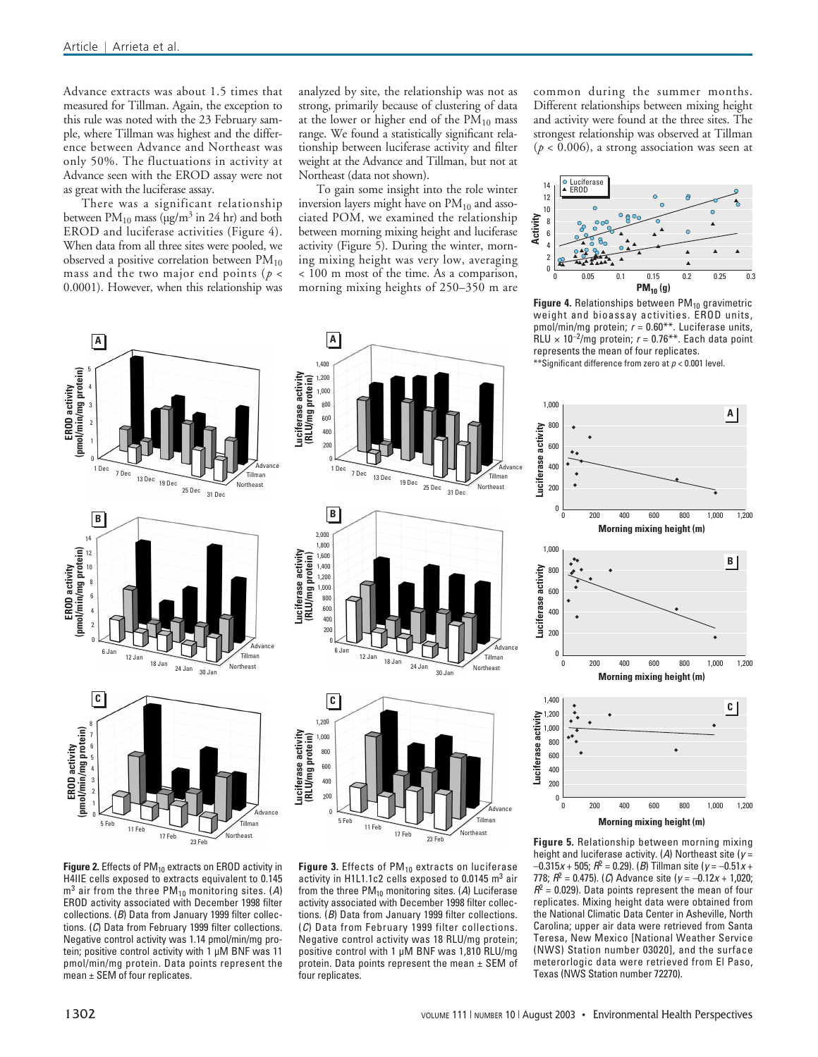**A**

5

2

**B**

**EROD activity (pmol/min/mg protein)**

EROD activity<br>(pmol/min/mg protein)

Advance extracts was about 1.5 times that measured for Tillman. Again, the exception to this rule was noted with the 23 February sample, where Tillman was highest and the difference between Advance and Northeast was only 50%. The fluctuations in activity at Advance seen with the EROD assay were not as great with the luciferase assay.

There was a significant relationship between  $PM_{10}$  mass ( $\mu$ g/m<sup>3</sup> in 24 hr) and both EROD and luciferase activities (Figure 4). When data from all three sites were pooled, we observed a positive correlation between  $PM_{10}$ mass and the two major end points (*p* < 0.0001). However, when this relationship was

1 Dec 7 Dec 13 Dec 19 Dec 25 Dec 31 Dec

Advance Tillman Northeast

**Luciferase activity (RLU/mg protein)**

Luciferase activity<br>(RLU/mg protein)

**A** 1,400 1,200 1,000 800 600 400

**B**

2,000 1,800 1,600 1,400 1,200 1,000 800 600 400  $200$ 0

**Luciferase activity (RLU/mg protein)**

Luciferase activity<br>(RLU/mg protein)

**C**

0

 $5 \overline{Feb}$  11 Feb

1,200 1,000 800 600 400

**Luciferase activity (RLU/mg protein)**

Luciferase activity<br>(RLU/mg protein)

analyzed by site, the relationship was not as strong, primarily because of clustering of data at the lower or higher end of the  $PM_{10}$  mass range. We found a statistically significant relationship between luciferase activity and filter weight at the Advance and Tillman, but not at Northeast (data not shown).

To gain some insight into the role winter inversion layers might have on  $PM_{10}$  and associated POM, we examined the relationship between morning mixing height and luciferase activity (Figure 5). During the winter, morning mixing height was very low, averaging < 100 m most of the time. As a comparison, morning mixing heights of 250–350 m are

1 Dec 13 Dec 19 Dec 25 Dec 31 Dec

6 Jan 12 Jan 18 Jan 24 Jan 30 Jan

common during the summer months. Different relationships between mixing height and activity were found at the three sites. The strongest relationship was observed at Tillman  $(p < 0.006)$ , a strong association was seen at



**Figure 4.** Relationships between PM<sub>10</sub> gravimetric<br>weight and bioassay activities. EROD units, pmol/min/mg protein; *r* = 0.60\*\*. Luciferase units,  $RLU \times 10^{-2}$ /mg protein;  $r = 0.76$ <sup>\*\*</sup>. Each data point represents the mean of four replicates.

\*\*Significant difference from zero at *p* < 0.001 level.





**Figure 2.** Effects of PM<sub>10</sub> extracts on EROD activity in H4IIE cells exposed to extracts equivalent to 0.145 m<sup>3</sup> air from the three PM10 monitoring sites. (*A*) EROD activity associated with December 1998 filter collections. (*B*) Data from January 1999 filter collections. (*C*) Data from February 1999 filter collections. Negative control activity was 1.14 pmol/min/mg protein; positive control activity with 1 µM BNF was 11 pmol/min/mg protein. Data points represent the mean ± SEM of four replicates.

Figure 3. Effects of PM<sub>10</sub> extracts on luciferase activity in H1L1.1c2 cells exposed to 0.0145 m<sup>3</sup> air from the three PM<sub>10</sub> monitoring sites. (A) Luciferase activity associated with December 1998 filter collections. (*B*) Data from January 1999 filter collections. (*C*) Data from February 1999 filter collections. Negative control activity was 18 RLU/mg protein; positive control with 1 µM BNF was 1,810 RLU/mg protein. Data points represent the mean  $\pm$  SEM of four replicates.

17 Feb $\overline{23}$  Feb

Northeast

height and luciferase activity. (*A*) Northeast site (*y* = –0.315*x* + 505; *R*<sup>2</sup> = 0.29). (*B*) Tillman site (*y* = –0.51*x* + 778; *R*<sup>2</sup> = 0.475). (*C*) Advance site (*y* = –0.12*x* + 1,020;  $R^2$  = 0.029). Data points represent the mean of four replicates. Mixing height data were obtained from the National Climatic Data Center in Asheville, North Carolina; upper air data were retrieved from Santa Teresa, New Mexico [National Weather Service (NWS) Station number 03020], and the surface meterorlogic data were retrieved from El Paso, Texas (NWS Station number 72270).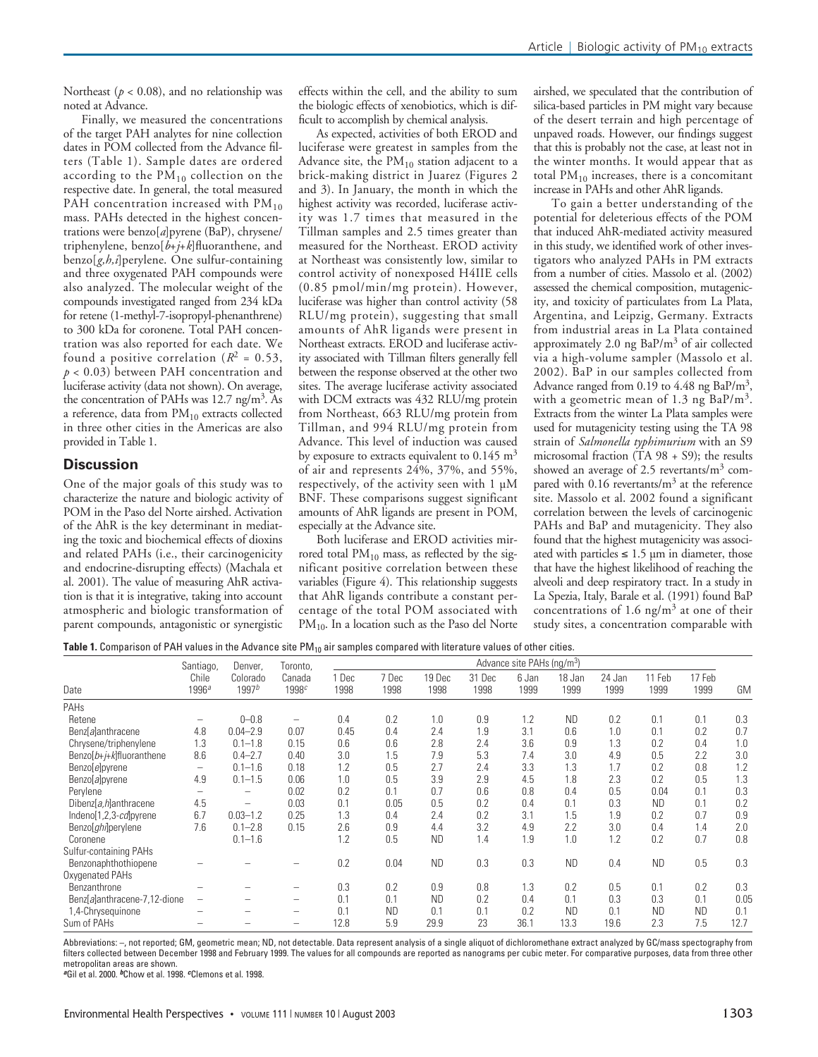Northeast ( $p < 0.08$ ), and no relationship was noted at Advance.

Finally, we measured the concentrations of the target PAH analytes for nine collection dates in POM collected from the Advance filters (Table 1). Sample dates are ordered according to the  $\tilde{PM}_{10}$  collection on the respective date. In general, the total measured PAH concentration increased with  $PM_{10}$ mass. PAHs detected in the highest concentrations were benzo[*a*]pyrene (BaP), chrysene/ triphenylene, benzo[*b*+*j*+*k*]fluoranthene, and benzo[*g,h,i*]perylene. One sulfur-containing and three oxygenated PAH compounds were also analyzed. The molecular weight of the compounds investigated ranged from 234 kDa for retene (1-methyl-7-isopropyl-phenanthrene) to 300 kDa for coronene. Total PAH concentration was also reported for each date. We found a positive correlation  $(R^2 = 0.53)$ , *p* < 0.03) between PAH concentration and luciferase activity (data not shown). On average, the concentration of PAHs was 12.7 ng/m<sup>3</sup>. As a reference, data from  $PM_{10}$  extracts collected in three other cities in the Americas are also provided in Table 1.

#### **Discussion**

One of the major goals of this study was to characterize the nature and biologic activity of POM in the Paso del Norte airshed. Activation of the AhR is the key determinant in mediating the toxic and biochemical effects of dioxins and related PAHs (i.e., their carcinogenicity and endocrine-disrupting effects) (Machala et al. 2001). The value of measuring AhR activation is that it is integrative, taking into account atmospheric and biologic transformation of parent compounds, antagonistic or synergistic

effects within the cell, and the ability to sum the biologic effects of xenobiotics, which is difficult to accomplish by chemical analysis.

As expected, activities of both EROD and luciferase were greatest in samples from the Advance site, the  $PM_{10}$  station adjacent to a brick-making district in Juarez (Figures 2 and 3). In January, the month in which the highest activity was recorded, luciferase activity was 1.7 times that measured in the Tillman samples and 2.5 times greater than measured for the Northeast. EROD activity at Northeast was consistently low, similar to control activity of nonexposed H4IIE cells (0.85 pmol/min/mg protein). However, luciferase was higher than control activity (58 RLU/mg protein), suggesting that small amounts of AhR ligands were present in Northeast extracts. EROD and luciferase activity associated with Tillman filters generally fell between the response observed at the other two sites. The average luciferase activity associated with DCM extracts was 432 RLU/mg protein from Northeast, 663 RLU/mg protein from Tillman, and 994 RLU/mg protein from Advance. This level of induction was caused by exposure to extracts equivalent to  $0.145 \text{ m}^3$ of air and represents 24%, 37%, and 55%, respectively, of the activity seen with 1 µM BNF. These comparisons suggest significant amounts of AhR ligands are present in POM, especially at the Advance site.

Both luciferase and EROD activities mirrored total  $PM_{10}$  mass, as reflected by the significant positive correlation between these variables (Figure 4). This relationship suggests that AhR ligands contribute a constant percentage of the total POM associated with PM<sub>10</sub>. In a location such as the Paso del Norte

airshed, we speculated that the contribution of silica-based particles in PM might vary because of the desert terrain and high percentage of unpaved roads. However, our findings suggest that this is probably not the case, at least not in the winter months. It would appear that as total  $PM_{10}$  increases, there is a concomitant increase in PAHs and other AhR ligands.

To gain a better understanding of the potential for deleterious effects of the POM that induced AhR-mediated activity measured in this study, we identified work of other investigators who analyzed PAHs in PM extracts from a number of cities. Massolo et al. (2002) assessed the chemical composition, mutagenicity, and toxicity of particulates from La Plata, Argentina, and Leipzig, Germany. Extracts from industrial areas in La Plata contained approximately 2.0 ng  $BaP/m<sup>3</sup>$  of air collected via a high-volume sampler (Massolo et al. 2002). BaP in our samples collected from Advance ranged from 0.19 to 4.48 ng BaP/ $m<sup>3</sup>$ , with a geometric mean of 1.3 ng  $BaP/m<sup>3</sup>$ . Extracts from the winter La Plata samples were used for mutagenicity testing using the TA 98 strain of *Salmonella typhimurium* with an S9 microsomal fraction ( $\hat{T}A$  98 + S9); the results showed an average of 2.5 revertants/ $m<sup>3</sup>$  compared with  $0.16$  revertants/ $m<sup>3</sup>$  at the reference site. Massolo et al. 2002 found a significant correlation between the levels of carcinogenic PAHs and BaP and mutagenicity. They also found that the highest mutagenicity was associated with particles  $\leq 1.5$  µm in diameter, those that have the highest likelihood of reaching the alveoli and deep respiratory tract. In a study in La Spezia, Italy, Barale et al. (1991) found BaP concentrations of 1.6 ng/ $m<sup>3</sup>$  at one of their study sites, a concentration comparable with

Table 1. Comparison of PAH values in the Advance site PM<sub>10</sub> air samples compared with literature values of other cities.

| Date                         | Santiago,                  | Denver.<br>Colorado<br>1997 <sup>b</sup> | Toronto,<br>Canada<br>1998c | Advance site PAHs (ng/m <sup>3</sup> ) |               |                |                |               |                |                |                |                |      |
|------------------------------|----------------------------|------------------------------------------|-----------------------------|----------------------------------------|---------------|----------------|----------------|---------------|----------------|----------------|----------------|----------------|------|
|                              | Chile<br>1996 <sup>a</sup> |                                          |                             | 1 Dec<br>1998                          | 7 Dec<br>1998 | 19 Dec<br>1998 | 31 Dec<br>1998 | 6 Jan<br>1999 | 18 Jan<br>1999 | 24 Jan<br>1999 | 11 Feb<br>1999 | 17 Feb<br>1999 | GM   |
| PAHs                         |                            |                                          |                             |                                        |               |                |                |               |                |                |                |                |      |
| Retene                       | -                          | $0 - 0.8$                                | $\overline{\phantom{0}}$    | 0.4                                    | 0.2           | 1.0            | 0.9            | 1.2           | <b>ND</b>      | 0.2            | 0.1            | 0.1            | 0.3  |
| Benz[a]anthracene            | 4.8                        | $0.04 - 2.9$                             | 0.07                        | 0.45                                   | 0.4           | 2.4            | 1.9            | 3.1           | 0.6            | 1.0            | 0.1            | 0.2            | 0.7  |
| Chrysene/triphenylene        | 1.3                        | $0.1 - 1.8$                              | 0.15                        | 0.6                                    | 0.6           | 2.8            | 2.4            | 3.6           | 0.9            | 1.3            | 0.2            | 0.4            | 1.0  |
| Benzo $[b+j+k]$ fluoranthene | 8.6                        | $0.4 - 2.7$                              | 0.40                        | 3.0                                    | 1.5           | 7.9            | 5.3            | 7.4           | 3.0            | 4.9            | 0.5            | 2.2            | 3.0  |
| Benzo[e]pyrene               | -                          | $0.1 - 1.6$                              | 0.18                        | 1.2                                    | 0.5           | 2.7            | 2.4            | 3.3           | 1.3            | 1.7            | 0.2            | 0.8            | 1.2  |
| Benzo[a]pyrene               | 4.9                        | $0.1 - 1.5$                              | 0.06                        | 1.0                                    | 0.5           | 3.9            | 2.9            | 4.5           | 1.8            | 2.3            | 0.2            | 0.5            | 1.3  |
| Perylene                     | -                          |                                          | 0.02                        | 0.2                                    | 0.1           | 0.7            | 0.6            | 0.8           | 0.4            | 0.5            | 0.04           | 0.1            | 0.3  |
| Dibenz[a,h]anthracene        | 4.5                        | -                                        | 0.03                        | 0.1                                    | 0.05          | 0.5            | 0.2            | 0.4           | 0.1            | 0.3            | <b>ND</b>      | 0.1            | 0.2  |
| Indeno[1,2,3-cd]pyrene       | 6.7                        | $0.03 - 1.2$                             | 0.25                        | 1.3                                    | 0.4           | 2.4            | 0.2            | 3.1           | 1.5            | 1.9            | 0.2            | 0.7            | 0.9  |
| Benzo[ghi]perylene           | 7.6                        | $0.1 - 2.8$                              | 0.15                        | 2.6                                    | 0.9           | 4.4            | 3.2            | 4.9           | 2.2            | 3.0            | 0.4            | 1.4            | 2.0  |
| Coronene                     |                            | $0.1 - 1.6$                              |                             | 1.2                                    | 0.5           | <b>ND</b>      | 1.4            | 1.9           | 1.0            | 1.2            | 0.2            | 0.7            | 0.8  |
| Sulfur-containing PAHs       |                            |                                          |                             |                                        |               |                |                |               |                |                |                |                |      |
| Benzonaphthothiopene         |                            |                                          |                             | 0.2                                    | 0.04          | <b>ND</b>      | 0.3            | 0.3           | <b>ND</b>      | 0.4            | <b>ND</b>      | 0.5            | 0.3  |
| Oxygenated PAHs              |                            |                                          |                             |                                        |               |                |                |               |                |                |                |                |      |
| Benzanthrone                 |                            |                                          | -                           | 0.3                                    | 0.2           | 0.9            | 0.8            | 1.3           | 0.2            | 0.5            | 0.1            | 0.2            | 0.3  |
| Benz[a]anthracene-7,12-dione | -                          |                                          | $\overline{\phantom{0}}$    | 0.1                                    | 0.1           | <b>ND</b>      | 0.2            | 0.4           | 0.1            | 0.3            | 0.3            | 0.1            | 0.05 |
| 1,4-Chrysequinone            |                            |                                          | $\overline{\phantom{0}}$    | 0.1                                    | <b>ND</b>     | 0.1            | 0.1            | 0.2           | <b>ND</b>      | 0.1            | <b>ND</b>      | <b>ND</b>      | 0.1  |
| Sum of PAHs                  |                            |                                          | -                           | 12.8                                   | 5.9           | 29.9           | 23             | 36.1          | 13.3           | 19.6           | 2.3            | 7.5            | 12.7 |

Abbreviations: –, not reported; GM, geometric mean; ND, not detectable. Data represent analysis of a single aliquot of dichloromethane extract analyzed by GC/mass spectography from filters collected between December 1998 and February 1999. The values for all compounds are reported as nanograms per cubic meter. For comparative purposes, data from three other metropolitan areas are shown.

*<sup>a</sup>*Gil et al. 2000. *b*Chow et al. 1998. *c*Clemons et al. 1998.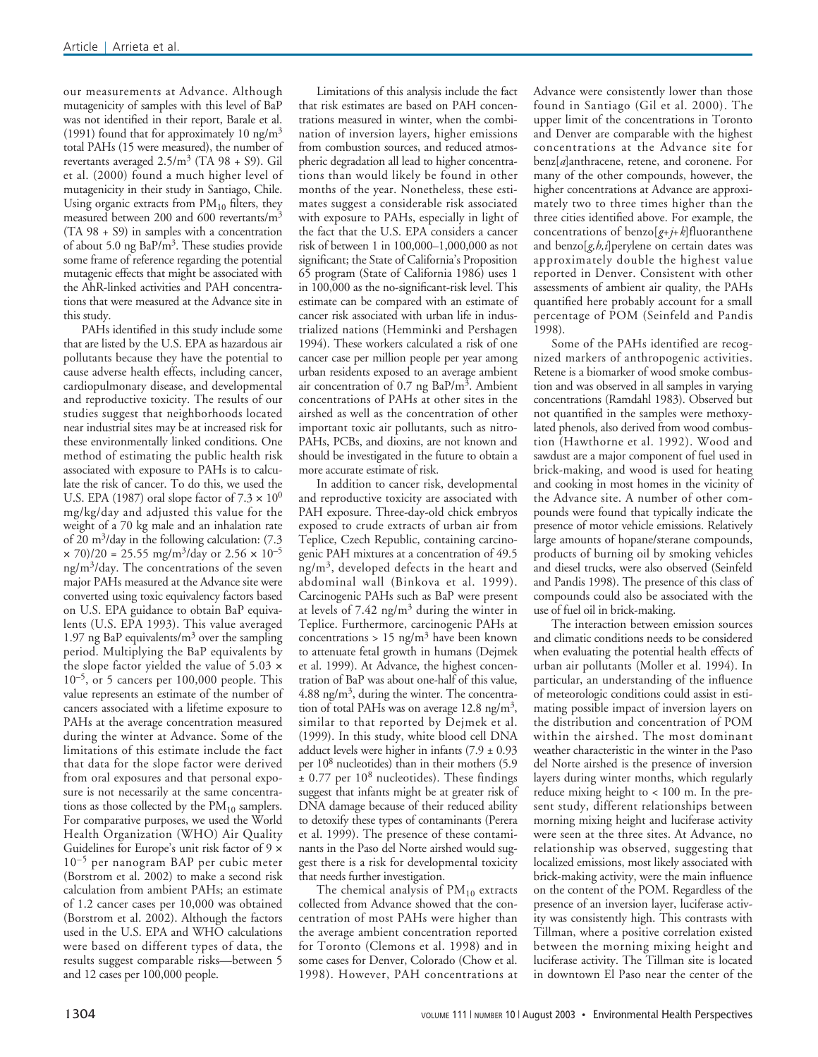our measurements at Advance. Although mutagenicity of samples with this level of BaP was not identified in their report, Barale et al. (1991) found that for approximately 10 ng/m<sup>3</sup> total PAHs (15 were measured), the number of revertants averaged  $2.5/m^3$  (TA 98 + S9). Gil et al. (2000) found a much higher level of mutagenicity in their study in Santiago, Chile. Using organic extracts from  $PM_{10}$  filters, they measured between 200 and 600 revertants/m<sup>3</sup> (TA 98 + S9) in samples with a concentration of about 5.0 ng BaP/m3. These studies provide some frame of reference regarding the potential mutagenic effects that might be associated with the AhR-linked activities and PAH concentrations that were measured at the Advance site in this study.

PAHs identified in this study include some that are listed by the U.S. EPA as hazardous air pollutants because they have the potential to cause adverse health effects, including cancer, cardiopulmonary disease, and developmental and reproductive toxicity. The results of our studies suggest that neighborhoods located near industrial sites may be at increased risk for these environmentally linked conditions. One method of estimating the public health risk associated with exposure to PAHs is to calculate the risk of cancer. To do this, we used the U.S. EPA (1987) oral slope factor of  $7.3 \times 10^0$ mg/kg/day and adjusted this value for the weight of a 70 kg male and an inhalation rate of 20 m<sup>3</sup>/day in the following calculation:  $(7.3)$  $\times$  70)/20 = 25.55 mg/m<sup>3</sup>/day or 2.56  $\times$  10<sup>-5</sup> ng/m3/day. The concentrations of the seven major PAHs measured at the Advance site were converted using toxic equivalency factors based on U.S. EPA guidance to obtain BaP equivalents (U.S. EPA 1993). This value averaged 1.97 ng BaP equivalents/ $m<sup>3</sup>$  over the sampling period. Multiplying the BaP equivalents by the slope factor yielded the value of 5.03 ×  $10^{-5}$ , or 5 cancers per 100,000 people. This value represents an estimate of the number of cancers associated with a lifetime exposure to PAHs at the average concentration measured during the winter at Advance. Some of the limitations of this estimate include the fact that data for the slope factor were derived from oral exposures and that personal exposure is not necessarily at the same concentrations as those collected by the  $PM_{10}$  samplers. For comparative purposes, we used the World Health Organization (WHO) Air Quality Guidelines for Europe's unit risk factor of 9 × 10<sup>-5</sup> per nanogram BAP per cubic meter (Borstrom et al. 2002) to make a second risk calculation from ambient PAHs; an estimate of 1.2 cancer cases per 10,000 was obtained (Borstrom et al. 2002). Although the factors used in the U.S. EPA and WHO calculations were based on different types of data, the results suggest comparable risks—between 5 and 12 cases per 100,000 people.

Limitations of this analysis include the fact that risk estimates are based on PAH concentrations measured in winter, when the combination of inversion layers, higher emissions from combustion sources, and reduced atmospheric degradation all lead to higher concentrations than would likely be found in other months of the year. Nonetheless, these estimates suggest a considerable risk associated with exposure to PAHs, especially in light of the fact that the U.S. EPA considers a cancer risk of between 1 in 100,000–1,000,000 as not significant; the State of California's Proposition 65 program (State of California 1986) uses 1 in 100,000 as the no-significant-risk level. This estimate can be compared with an estimate of cancer risk associated with urban life in industrialized nations (Hemminki and Pershagen 1994). These workers calculated a risk of one cancer case per million people per year among urban residents exposed to an average ambient air concentration of 0.7 ng BaP/ $m^3$ . Ambient concentrations of PAHs at other sites in the airshed as well as the concentration of other important toxic air pollutants, such as nitro-PAHs, PCBs, and dioxins, are not known and should be investigated in the future to obtain a more accurate estimate of risk.

In addition to cancer risk, developmental and reproductive toxicity are associated with PAH exposure. Three-day-old chick embryos exposed to crude extracts of urban air from Teplice, Czech Republic, containing carcinogenic PAH mixtures at a concentration of 49.5  $ng/m<sup>3</sup>$ , developed defects in the heart and abdominal wall (Binkova et al. 1999). Carcinogenic PAHs such as BaP were present at levels of  $7.42$  ng/m<sup>3</sup> during the winter in Teplice. Furthermore, carcinogenic PAHs at concentrations > 15 ng/m<sup>3</sup> have been known to attenuate fetal growth in humans (Dejmek et al. 1999). At Advance, the highest concentration of BaP was about one-half of this value, 4.88 ng/m<sup>3</sup>, during the winter. The concentration of total PAHs was on average  $12.8$  ng/m<sup>3</sup>, similar to that reported by Dejmek et al. (1999). In this study, white blood cell DNA adduct levels were higher in infants  $(7.9 \pm 0.93)$ per 108 nucleotides) than in their mothers (5.9  $\pm$  0.77 per 10<sup>8</sup> nucleotides). These findings suggest that infants might be at greater risk of DNA damage because of their reduced ability to detoxify these types of contaminants (Perera et al. 1999). The presence of these contaminants in the Paso del Norte airshed would suggest there is a risk for developmental toxicity that needs further investigation.

The chemical analysis of  $PM_{10}$  extracts collected from Advance showed that the concentration of most PAHs were higher than the average ambient concentration reported for Toronto (Clemons et al. 1998) and in some cases for Denver, Colorado (Chow et al. 1998). However, PAH concentrations at

Advance were consistently lower than those found in Santiago (Gil et al. 2000). The upper limit of the concentrations in Toronto and Denver are comparable with the highest concentrations at the Advance site for benz[*a*]anthracene, retene, and coronene. For many of the other compounds, however, the higher concentrations at Advance are approximately two to three times higher than the three cities identified above. For example, the concentrations of benzo[*g*+*j*+*k*]fluoranthene and benzo[*g,h,i*]perylene on certain dates was approximately double the highest value reported in Denver. Consistent with other assessments of ambient air quality, the PAHs quantified here probably account for a small percentage of POM (Seinfeld and Pandis 1998).

Some of the PAHs identified are recognized markers of anthropogenic activities. Retene is a biomarker of wood smoke combustion and was observed in all samples in varying concentrations (Ramdahl 1983). Observed but not quantified in the samples were methoxylated phenols, also derived from wood combustion (Hawthorne et al. 1992). Wood and sawdust are a major component of fuel used in brick-making, and wood is used for heating and cooking in most homes in the vicinity of the Advance site. A number of other compounds were found that typically indicate the presence of motor vehicle emissions. Relatively large amounts of hopane/sterane compounds, products of burning oil by smoking vehicles and diesel trucks, were also observed (Seinfeld and Pandis 1998). The presence of this class of compounds could also be associated with the use of fuel oil in brick-making.

The interaction between emission sources and climatic conditions needs to be considered when evaluating the potential health effects of urban air pollutants (Moller et al. 1994). In particular, an understanding of the influence of meteorologic conditions could assist in estimating possible impact of inversion layers on the distribution and concentration of POM within the airshed. The most dominant weather characteristic in the winter in the Paso del Norte airshed is the presence of inversion layers during winter months, which regularly reduce mixing height to < 100 m. In the present study, different relationships between morning mixing height and luciferase activity were seen at the three sites. At Advance, no relationship was observed, suggesting that localized emissions, most likely associated with brick-making activity, were the main influence on the content of the POM. Regardless of the presence of an inversion layer, luciferase activity was consistently high. This contrasts with Tillman, where a positive correlation existed between the morning mixing height and luciferase activity. The Tillman site is located in downtown El Paso near the center of the